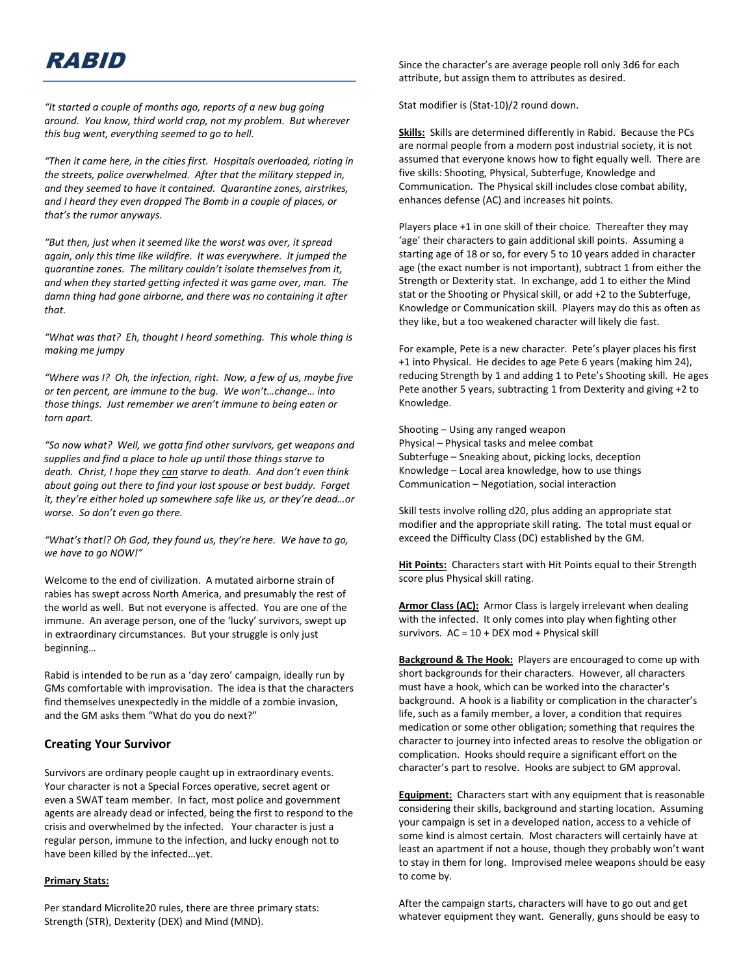

*"It started a couple of months ago, reports of a new bug going around. You know, third world crap, not my problem. But wherever this bug went, everything seemed to go to hell.* 

*"Then it came here, in the cities first. Hospitals overloaded, rioting in the streets, police overwhelmed. After that the military stepped in, and they seemed to have it contained. Quarantine zones, airstrikes, and I heard they even dropped The Bomb in a couple of places, or that's the rumor anyways.* 

*"But then, just when it seemed like the worst was over, it spread again, only this time like wildfire. It was everywhere. It jumped the quarantine zones. The military couldn't isolate themselves from it, and when they started getting infected it was game over, man. The damn thing had gone airborne, and there was no containing it after that.* 

*"What was that? Eh, thought I heard something. This whole thing is making me jumpy* 

*"Where was I? Oh, the infection, right. Now, a few of us, maybe five or ten percent, are immune to the bug. We won't…change… into those things. Just remember we aren't immune to being eaten or torn apart.* 

*"So now what? Well, we gotta find other survivors, get weapons and supplies and find a place to hole up until those things starve to death. Christ, I hope they can starve to death. And don't even think about going out there to find your lost spouse or best buddy. Forget it, they're either holed up somewhere safe like us, or they're dead…or worse. So don't even go there.* 

*"What's that!? Oh God, they found us, they're here. We have to go, we have to go NOW!"*

Welcome to the end of civilization. A mutated airborne strain of rabies has swept across North America, and presumably the rest of the world as well. But not everyone is affected. You are one of the immune. An average person, one of the 'lucky' survivors, swept up in extraordinary circumstances. But your struggle is only just beginning…

Rabid is intended to be run as a 'day zero' campaign, ideally run by GMs comfortable with improvisation. The idea is that the characters find themselves unexpectedly in the middle of a zombie invasion, and the GM asks them "What do you do next?"

# **Creating Your Survivor**

Survivors are ordinary people caught up in extraordinary events. Your character is not a Special Forces operative, secret agent or even a SWAT team member. In fact, most police and government agents are already dead or infected, being the first to respond to the crisis and overwhelmed by the infected. Your character is just a regular person, immune to the infection, and lucky enough not to have been killed by the infected…yet.

### **Primary Stats:**

Per standard Microlite20 rules, there are three primary stats: Strength (STR), Dexterity (DEX) and Mind (MND).

Since the character's are average people roll only 3d6 for each attribute, but assign them to attributes as desired.

Stat modifier is (Stat-10)/2 round down.

**Skills:** Skills are determined differently in Rabid. Because the PCs are normal people from a modern post industrial society, it is not assumed that everyone knows how to fight equally well. There are five skills: Shooting, Physical, Subterfuge, Knowledge and Communication. The Physical skill includes close combat ability, enhances defense (AC) and increases hit points.

Players place +1 in one skill of their choice. Thereafter they may 'age' their characters to gain additional skill points. Assuming a starting age of 18 or so, for every 5 to 10 years added in character age (the exact number is not important), subtract 1 from either the Strength or Dexterity stat. In exchange, add 1 to either the Mind stat or the Shooting or Physical skill, or add +2 to the Subterfuge, Knowledge or Communication skill. Players may do this as often as they like, but a too weakened character will likely die fast.

For example, Pete is a new character. Pete's player places his first +1 into Physical. He decides to age Pete 6 years (making him 24), reducing Strength by 1 and adding 1 to Pete's Shooting skill. He ages Pete another 5 years, subtracting 1 from Dexterity and giving +2 to Knowledge.

Shooting – Using any ranged weapon Physical – Physical tasks and melee combat Subterfuge – Sneaking about, picking locks, deception Knowledge – Local area knowledge, how to use things Communication – Negotiation, social interaction

Skill tests involve rolling d20, plus adding an appropriate stat modifier and the appropriate skill rating. The total must equal or exceed the Difficulty Class (DC) established by the GM.

**Hit Points:** Characters start with Hit Points equal to their Strength score plus Physical skill rating.

**Armor Class (AC):** Armor Class is largely irrelevant when dealing with the infected. It only comes into play when fighting other survivors.  $AC = 10 + DEX \text{ mod } +$  Physical skill

**Background & The Hook:** Players are encouraged to come up with short backgrounds for their characters. However, all characters must have a hook, which can be worked into the character's background. A hook is a liability or complication in the character's life, such as a family member, a lover, a condition that requires medication or some other obligation; something that requires the character to journey into infected areas to resolve the obligation or complication. Hooks should require a significant effort on the character's part to resolve. Hooks are subject to GM approval.

**Equipment:** Characters start with any equipment that is reasonable considering their skills, background and starting location. Assuming your campaign is set in a developed nation, access to a vehicle of some kind is almost certain. Most characters will certainly have at least an apartment if not a house, though they probably won't want to stay in them for long. Improvised melee weapons should be easy to come by.

After the campaign starts, characters will have to go out and get whatever equipment they want. Generally, guns should be easy to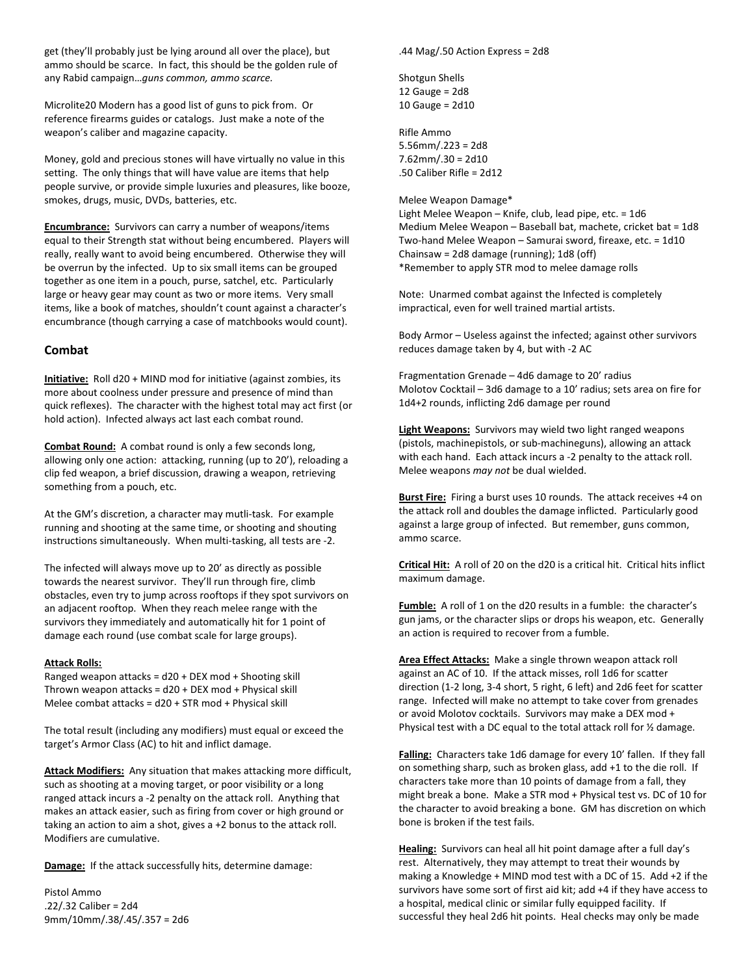get (they'll probably just be lying around all over the place), but ammo should be scarce. In fact, this should be the golden rule of any Rabid campaign…*guns common, ammo scarce.*

Microlite20 Modern has a good list of guns to pick from. Or reference firearms guides or catalogs. Just make a note of the weapon's caliber and magazine capacity.

Money, gold and precious stones will have virtually no value in this setting. The only things that will have value are items that help people survive, or provide simple luxuries and pleasures, like booze, smokes, drugs, music, DVDs, batteries, etc.

**Encumbrance:** Survivors can carry a number of weapons/items equal to their Strength stat without being encumbered. Players will really, really want to avoid being encumbered. Otherwise they will be overrun by the infected. Up to six small items can be grouped together as one item in a pouch, purse, satchel, etc. Particularly large or heavy gear may count as two or more items. Very small items, like a book of matches, shouldn't count against a character's encumbrance (though carrying a case of matchbooks would count).

# **Combat**

**Initiative:** Roll d20 + MIND mod for initiative (against zombies, its more about coolness under pressure and presence of mind than quick reflexes). The character with the highest total may act first (or hold action). Infected always act last each combat round.

**Combat Round:** A combat round is only a few seconds long, allowing only one action: attacking, running (up to 20'), reloading a clip fed weapon, a brief discussion, drawing a weapon, retrieving something from a pouch, etc.

At the GM's discretion, a character may mutli-task. For example running and shooting at the same time, or shooting and shouting instructions simultaneously. When multi-tasking, all tests are -2.

The infected will always move up to 20' as directly as possible towards the nearest survivor. They'll run through fire, climb obstacles, even try to jump across rooftops if they spot survivors on an adjacent rooftop. When they reach melee range with the survivors they immediately and automatically hit for 1 point of damage each round (use combat scale for large groups).

#### **Attack Rolls:**

Ranged weapon attacks = d20 + DEX mod + Shooting skill Thrown weapon attacks =  $d20 + DEX$  mod + Physical skill Melee combat attacks = d20 + STR mod + Physical skill

The total result (including any modifiers) must equal or exceed the target's Armor Class (AC) to hit and inflict damage.

**Attack Modifiers:** Any situation that makes attacking more difficult, such as shooting at a moving target, or poor visibility or a long ranged attack incurs a -2 penalty on the attack roll. Anything that makes an attack easier, such as firing from cover or high ground or taking an action to aim a shot, gives a +2 bonus to the attack roll. Modifiers are cumulative.

**Damage:** If the attack successfully hits, determine damage:

Pistol Ammo .22/.32 Caliber = 2d4 9mm/10mm/.38/.45/.357 = 2d6 .44 Mag/.50 Action Express = 2d8

Shotgun Shells 12 Gauge = 2d8 10 Gauge = 2d10

Rifle Ammo  $5.56$ mm $/0.223 = 2d8$  $7.62$ mm $/0.30 = 2$ d $10$ .50 Caliber Rifle = 2d12

## Melee Weapon Damage\*

Light Melee Weapon – Knife, club, lead pipe, etc. = 1d6 Medium Melee Weapon – Baseball bat, machete, cricket bat = 1d8 Two-hand Melee Weapon – Samurai sword, fireaxe, etc. = 1d10 Chainsaw = 2d8 damage (running); 1d8 (off) \*Remember to apply STR mod to melee damage rolls

Note: Unarmed combat against the Infected is completely impractical, even for well trained martial artists.

Body Armor – Useless against the infected; against other survivors reduces damage taken by 4, but with -2 AC

Fragmentation Grenade – 4d6 damage to 20' radius Molotov Cocktail – 3d6 damage to a 10' radius; sets area on fire for 1d4+2 rounds, inflicting 2d6 damage per round

**Light Weapons:** Survivors may wield two light ranged weapons (pistols, machinepistols, or sub-machineguns), allowing an attack with each hand. Each attack incurs a -2 penalty to the attack roll. Melee weapons *may not* be dual wielded.

**Burst Fire:** Firing a burst uses 10 rounds. The attack receives +4 on the attack roll and doubles the damage inflicted. Particularly good against a large group of infected. But remember, guns common, ammo scarce.

**Critical Hit:** A roll of 20 on the d20 is a critical hit. Critical hits inflict maximum damage.

Fumble: A roll of 1 on the d20 results in a fumble: the character's gun jams, or the character slips or drops his weapon, etc. Generally an action is required to recover from a fumble.

**Area Effect Attacks:** Make a single thrown weapon attack roll against an AC of 10. If the attack misses, roll 1d6 for scatter direction (1-2 long, 3-4 short, 5 right, 6 left) and 2d6 feet for scatter range. Infected will make no attempt to take cover from grenades or avoid Molotov cocktails. Survivors may make a DEX mod + Physical test with a DC equal to the total attack roll for ½ damage.

**Falling:** Characters take 1d6 damage for every 10' fallen. If they fall on something sharp, such as broken glass, add +1 to the die roll. If characters take more than 10 points of damage from a fall, they might break a bone. Make a STR mod + Physical test vs. DC of 10 for the character to avoid breaking a bone. GM has discretion on which bone is broken if the test fails.

**Healing:** Survivors can heal all hit point damage after a full day's rest. Alternatively, they may attempt to treat their wounds by making a Knowledge + MIND mod test with a DC of 15. Add +2 if the survivors have some sort of first aid kit; add +4 if they have access to a hospital, medical clinic or similar fully equipped facility. If successful they heal 2d6 hit points. Heal checks may only be made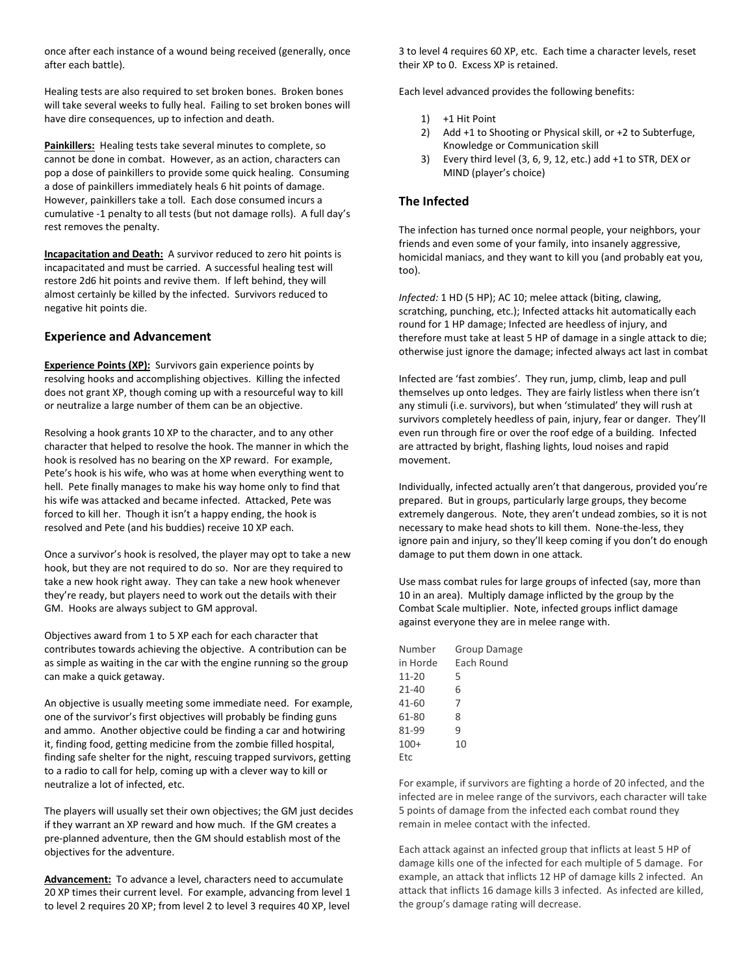once after each instance of a wound being received (generally, once after each battle).

Healing tests are also required to set broken bones. Broken bones will take several weeks to fully heal. Failing to set broken bones will have dire consequences, up to infection and death.

**Painkillers:** Healing tests take several minutes to complete, so cannot be done in combat. However, as an action, characters can pop a dose of painkillers to provide some quick healing. Consuming a dose of painkillers immediately heals 6 hit points of damage. However, painkillers take a toll. Each dose consumed incurs a cumulative -1 penalty to all tests (but not damage rolls). A full day's rest removes the penalty.

**Incapacitation and Death:** A survivor reduced to zero hit points is incapacitated and must be carried. A successful healing test will restore 2d6 hit points and revive them. If left behind, they will almost certainly be killed by the infected. Survivors reduced to negative hit points die.

# **Experience and Advancement**

**Experience Points (XP):** Survivors gain experience points by resolving hooks and accomplishing objectives. Killing the infected does not grant XP, though coming up with a resourceful way to kill or neutralize a large number of them can be an objective.

Resolving a hook grants 10 XP to the character, and to any other character that helped to resolve the hook. The manner in which the hook is resolved has no bearing on the XP reward. For example, Pete's hook is his wife, who was at home when everything went to hell. Pete finally manages to make his way home only to find that his wife was attacked and became infected. Attacked, Pete was forced to kill her. Though it isn't a happy ending, the hook is resolved and Pete (and his buddies) receive 10 XP each.

Once a survivor's hook is resolved, the player may opt to take a new hook, but they are not required to do so. Nor are they required to take a new hook right away. They can take a new hook whenever they're ready, but players need to work out the details with their GM. Hooks are always subject to GM approval.

Objectives award from 1 to 5 XP each for each character that contributes towards achieving the objective. A contribution can be as simple as waiting in the car with the engine running so the group can make a quick getaway.

An objective is usually meeting some immediate need. For example, one of the survivor's first objectives will probably be finding guns and ammo. Another objective could be finding a car and hotwiring it, finding food, getting medicine from the zombie filled hospital, finding safe shelter for the night, rescuing trapped survivors, getting to a radio to call for help, coming up with a clever way to kill or neutralize a lot of infected, etc.

The players will usually set their own objectives; the GM just decides if they warrant an XP reward and how much. If the GM creates a pre-planned adventure, then the GM should establish most of the objectives for the adventure.

**Advancement:** To advance a level, characters need to accumulate 20 XP times their current level. For example, advancing from level 1 to level 2 requires 20 XP; from level 2 to level 3 requires 40 XP, level

3 to level 4 requires 60 XP, etc. Each time a character levels, reset their XP to 0. Excess XP is retained.

Each level advanced provides the following benefits:

- 1) +1 Hit Point
- 2) Add +1 to Shooting or Physical skill, or +2 to Subterfuge, Knowledge or Communication skill
- 3) Every third level (3, 6, 9, 12, etc.) add +1 to STR, DEX or MIND (player's choice)

# **The Infected**

The infection has turned once normal people, your neighbors, your friends and even some of your family, into insanely aggressive, homicidal maniacs, and they want to kill you (and probably eat you, too).

*Infected:* 1 HD (5 HP); AC 10; melee attack (biting, clawing, scratching, punching, etc.); Infected attacks hit automatically each round for 1 HP damage; Infected are heedless of injury, and therefore must take at least 5 HP of damage in a single attack to die; otherwise just ignore the damage; infected always act last in combat

Infected are 'fast zombies'. They run, jump, climb, leap and pull themselves up onto ledges. They are fairly listless when there isn't any stimuli (i.e. survivors), but when 'stimulated' they will rush at survivors completely heedless of pain, injury, fear or danger. They'll even run through fire or over the roof edge of a building. Infected are attracted by bright, flashing lights, loud noises and rapid movement.

Individually, infected actually aren't that dangerous, provided you're prepared. But in groups, particularly large groups, they become extremely dangerous. Note, they aren't undead zombies, so it is not necessary to make head shots to kill them. None-the-less, they ignore pain and injury, so they'll keep coming if you don't do enough damage to put them down in one attack.

Use mass combat rules for large groups of infected (say, more than 10 in an area). Multiply damage inflicted by the group by the Combat Scale multiplier. Note, infected groups inflict damage against everyone they are in melee range with.

| Number    | Group Damage |
|-----------|--------------|
| in Horde  | Each Round   |
| $11 - 20$ | 5            |
| $21 - 40$ | 6            |
| 41-60     | 7            |
| 61-80     | 8            |
| 81-99     | q            |
| $100+$    | 10           |
| Ftc       |              |

For example, if survivors are fighting a horde of 20 infected, and the infected are in melee range of the survivors, each character will take 5 points of damage from the infected each combat round they remain in melee contact with the infected.

Each attack against an infected group that inflicts at least 5 HP of damage kills one of the infected for each multiple of 5 damage. For example, an attack that inflicts 12 HP of damage kills 2 infected. An attack that inflicts 16 damage kills 3 infected. As infected are killed, the group's damage rating will decrease.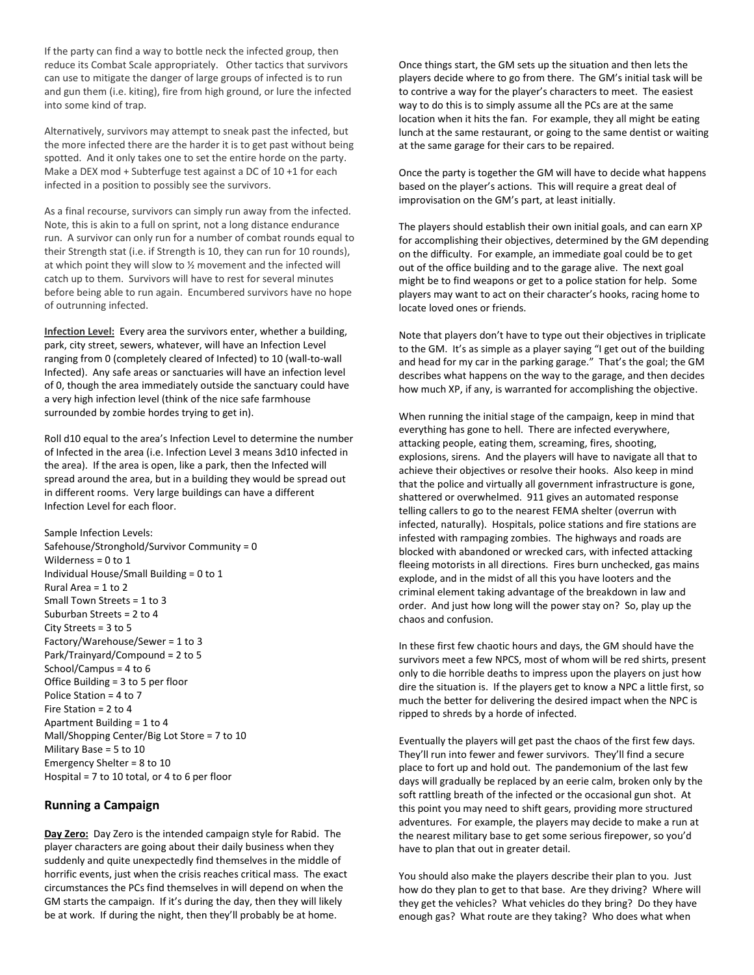If the party can find a way to bottle neck the infected group, then reduce its Combat Scale appropriately. Other tactics that survivors can use to mitigate the danger of large groups of infected is to run and gun them (i.e. kiting), fire from high ground, or lure the infected into some kind of trap.

Alternatively, survivors may attempt to sneak past the infected, but the more infected there are the harder it is to get past without being spotted. And it only takes one to set the entire horde on the party. Make a DEX mod + Subterfuge test against a DC of 10 +1 for each infected in a position to possibly see the survivors.

As a final recourse, survivors can simply run away from the infected. Note, this is akin to a full on sprint, not a long distance endurance run. A survivor can only run for a number of combat rounds equal to their Strength stat (i.e. if Strength is 10, they can run for 10 rounds), at which point they will slow to ½ movement and the infected will catch up to them. Survivors will have to rest for several minutes before being able to run again. Encumbered survivors have no hope of outrunning infected.

**Infection Level:** Every area the survivors enter, whether a building, park, city street, sewers, whatever, will have an Infection Level ranging from 0 (completely cleared of Infected) to 10 (wall-to-wall Infected). Any safe areas or sanctuaries will have an infection level of 0, though the area immediately outside the sanctuary could have a very high infection level (think of the nice safe farmhouse surrounded by zombie hordes trying to get in).

Roll d10 equal to the area's Infection Level to determine the number of Infected in the area (i.e. Infection Level 3 means 3d10 infected in the area). If the area is open, like a park, then the Infected will spread around the area, but in a building they would be spread out in different rooms. Very large buildings can have a different Infection Level for each floor.

```
Sample Infection Levels: 
Safehouse/Stronghold/Survivor Community = 0 
Wilderness = 0 to 1 
Individual House/Small Building = 0 to 1 
Rural Area = 1 to 2 
Small Town Streets = 1 to 3 
Suburban Streets = 2 to 4 
City Streets = 3 to 5 
Factory/Warehouse/Sewer = 1 to 3 
Park/Trainyard/Compound = 2 to 5 
School/Campus = 4 to 6 
Office Building = 3 to 5 per floor 
Police Station = 4 to 7 
Fire Station = 2 to 4 
Apartment Building = 1 to 4 
Mall/Shopping Center/Big Lot Store = 7 to 10 
Military Base = 5 to 10 
Emergency Shelter = 8 to 10 
Hospital = 7 to 10 total, or 4 to 6 per floor
```
# **Running a Campaign**

**Day Zero:** Day Zero is the intended campaign style for Rabid. The player characters are going about their daily business when they suddenly and quite unexpectedly find themselves in the middle of horrific events, just when the crisis reaches critical mass. The exact circumstances the PCs find themselves in will depend on when the GM starts the campaign. If it's during the day, then they will likely be at work. If during the night, then they'll probably be at home.

Once things start, the GM sets up the situation and then lets the players decide where to go from there. The GM's initial task will be to contrive a way for the player's characters to meet. The easiest way to do this is to simply assume all the PCs are at the same location when it hits the fan. For example, they all might be eating lunch at the same restaurant, or going to the same dentist or waiting at the same garage for their cars to be repaired.

Once the party is together the GM will have to decide what happens based on the player's actions. This will require a great deal of improvisation on the GM's part, at least initially.

The players should establish their own initial goals, and can earn XP for accomplishing their objectives, determined by the GM depending on the difficulty. For example, an immediate goal could be to get out of the office building and to the garage alive. The next goal might be to find weapons or get to a police station for help. Some players may want to act on their character's hooks, racing home to locate loved ones or friends.

Note that players don't have to type out their objectives in triplicate to the GM. It's as simple as a player saying "I get out of the building and head for my car in the parking garage." That's the goal; the GM describes what happens on the way to the garage, and then decides how much XP, if any, is warranted for accomplishing the objective.

When running the initial stage of the campaign, keep in mind that everything has gone to hell. There are infected everywhere, attacking people, eating them, screaming, fires, shooting, explosions, sirens. And the players will have to navigate all that to achieve their objectives or resolve their hooks. Also keep in mind that the police and virtually all government infrastructure is gone, shattered or overwhelmed. 911 gives an automated response telling callers to go to the nearest FEMA shelter (overrun with infected, naturally). Hospitals, police stations and fire stations are infested with rampaging zombies. The highways and roads are blocked with abandoned or wrecked cars, with infected attacking fleeing motorists in all directions. Fires burn unchecked, gas mains explode, and in the midst of all this you have looters and the criminal element taking advantage of the breakdown in law and order. And just how long will the power stay on? So, play up the chaos and confusion.

In these first few chaotic hours and days, the GM should have the survivors meet a few NPCS, most of whom will be red shirts, present only to die horrible deaths to impress upon the players on just how dire the situation is. If the players get to know a NPC a little first, so much the better for delivering the desired impact when the NPC is ripped to shreds by a horde of infected.

Eventually the players will get past the chaos of the first few days. They'll run into fewer and fewer survivors. They'll find a secure place to fort up and hold out. The pandemonium of the last few days will gradually be replaced by an eerie calm, broken only by the soft rattling breath of the infected or the occasional gun shot. At this point you may need to shift gears, providing more structured adventures. For example, the players may decide to make a run at the nearest military base to get some serious firepower, so you'd have to plan that out in greater detail.

You should also make the players describe their plan to you. Just how do they plan to get to that base. Are they driving? Where will they get the vehicles? What vehicles do they bring? Do they have enough gas? What route are they taking? Who does what when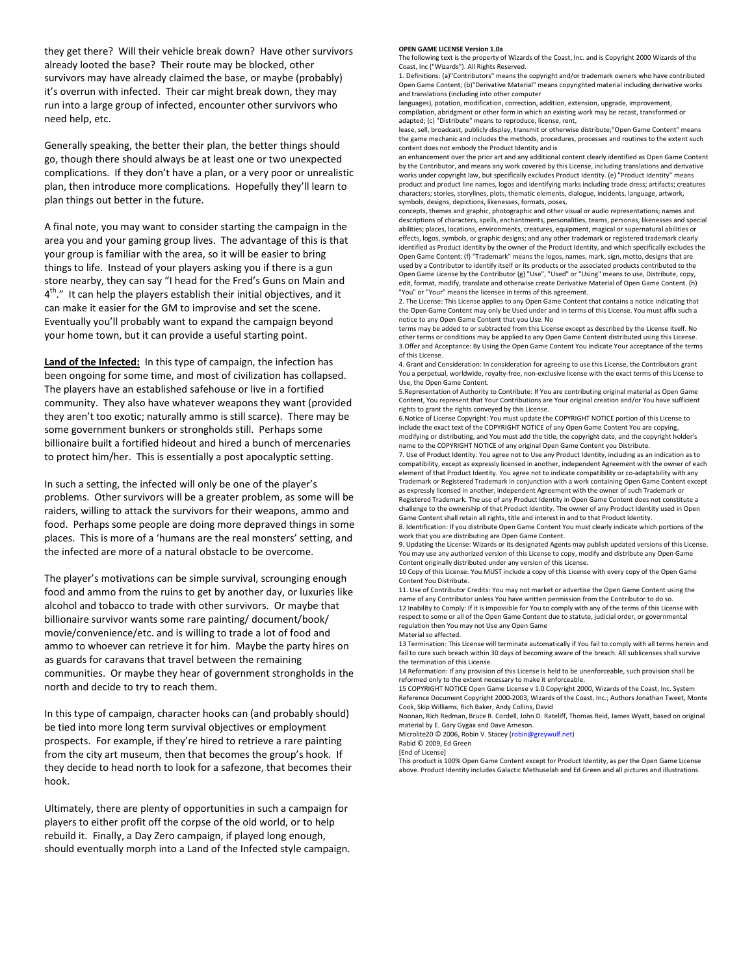they get there? Will their vehicle break down? Have other survivors already looted the base? Their route may be blocked, other survivors may have already claimed the base, or maybe (probably) it's overrun with infected. Their car might break down, they may run into a large group of infected, encounter other survivors who need help, etc.

Generally speaking, the better their plan, the better things should go, though there should always be at least one or two unexpected complications. If they don't have a plan, or a very poor or unrealistic plan, then introduce more complications. Hopefully they'll learn to plan things out better in the future.

A final note, you may want to consider starting the campaign in the area you and your gaming group lives. The advantage of this is that your group is familiar with the area, so it will be easier to bring things to life. Instead of your players asking you if there is a gun store nearby, they can say "I head for the Fred's Guns on Main and  $4^{\text{th}}$ ." It can help the players establish their initial objectives, and it can make it easier for the GM to improvise and set the scene. Eventually you'll probably want to expand the campaign beyond your home town, but it can provide a useful starting point.

**Land of the Infected:** In this type of campaign, the infection has been ongoing for some time, and most of civilization has collapsed. The players have an established safehouse or live in a fortified community. They also have whatever weapons they want (provided they aren't too exotic; naturally ammo is still scarce). There may be some government bunkers or strongholds still. Perhaps some billionaire built a fortified hideout and hired a bunch of mercenaries to protect him/her. This is essentially a post apocalyptic setting.

In such a setting, the infected will only be one of the player's problems. Other survivors will be a greater problem, as some will be raiders, willing to attack the survivors for their weapons, ammo and food. Perhaps some people are doing more depraved things in some places. This is more of a 'humans are the real monsters' setting, and the infected are more of a natural obstacle to be overcome.

The player's motivations can be simple survival, scrounging enough food and ammo from the ruins to get by another day, or luxuries like alcohol and tobacco to trade with other survivors. Or maybe that billionaire survivor wants some rare painting/ document/book/ movie/convenience/etc. and is willing to trade a lot of food and ammo to whoever can retrieve it for him. Maybe the party hires on as guards for caravans that travel between the remaining communities. Or maybe they hear of government strongholds in the north and decide to try to reach them.

In this type of campaign, character hooks can (and probably should) be tied into more long term survival objectives or employment prospects. For example, if they're hired to retrieve a rare painting from the city art museum, then that becomes the group's hook. If they decide to head north to look for a safezone, that becomes their hook.

Ultimately, there are plenty of opportunities in such a campaign for players to either profit off the corpse of the old world, or to help rebuild it. Finally, a Day Zero campaign, if played long enough, should eventually morph into a Land of the Infected style campaign.

#### **OPEN GAME LICENSE Version 1.0a**

The following text is the property of Wizards of the Coast, Inc. and is Copyright 2000 Wizards of the Coast, Inc ("Wizards"). All Rights Reserved.

1. Definitions: (a)"Contributors" means the copyright and/or trademark owners who have contributed Open Game Content; (b)"Derivative Material" means copyrighted material including derivative works and translations (including into other computer

languages), potation, modification, correction, addition, extension, upgrade, improvement, compilation, abridgment or other form in which an existing work may be recast, transformed or adapted; (c) "Distribute" means to reproduce, license, rent,

lease, sell, broadcast, publicly display, transmit or otherwise distribute;"Open Game Content" means the game mechanic and includes the methods, procedures, processes and routines to the extent such content does not embody the Product Identity and is

an enhancement over the prior art and any additional content clearly identified as Open Game Content by the Contributor, and means any work covered by this License, including translations and derivative works under copyright law, but specifically excludes Product Identity. (e) "Product Identity" means product and product line names, logos and identifying marks including trade dress; artifacts; creatures characters; stories, storylines, plots, thematic elements, dialogue, incidents, language, artwork, symbols, designs, depictions, likenesses, formats, poses,

concepts, themes and graphic, photographic and other visual or audio representations; names and descriptions of characters, spells, enchantments, personalities, teams, personas, likenesses and special abilities; places, locations, environments, creatures, equipment, magical or supernatural abilities or effects, logos, symbols, or graphic designs; and any other trademark or registered trademark clearly identified as Product identity by the owner of the Product Identity, and which specifically excludes the Open Game Content; (f) "Trademark" means the logos, names, mark, sign, motto, designs that are used by a Contributor to identify itself or its products or the associated products contributed to the Open Game License by the Contributor (g) "Use", "Used" or "Using" means to use, Distribute, copy, edit, format, modify, translate and otherwise create Derivative Material of Open Game Content. (h) "You" or "Your" means the licensee in terms of this agreement.

2. The License: This License applies to any Open Game Content that contains a notice indicating that the Open Game Content may only be Used under and in terms of this License. You must affix such a notice to any Open Game Content that you Use. No

terms may be added to or subtracted from this License except as described by the License itself. No other terms or conditions may be applied to any Open Game Content distributed using this License. 3.Offer and Acceptance: By Using the Open Game Content You indicate Your acceptance of the terms of this License.

4. Grant and Consideration: In consideration for agreeing to use this License, the Contributors grant You a perpetual, worldwide, royalty-free, non-exclusive license with the exact terms of this License to Use, the Open Game Content.

5.Representation of Authority to Contribute: If You are contributing original material as Open Game Content, You represent that Your Contributions are Your original creation and/or You have sufficient rights to grant the rights conveyed by this License.

6.Notice of License Copyright: You must update the COPYRIGHT NOTICE portion of this License to include the exact text of the COPYRIGHT NOTICE of any Open Game Content You are copying, modifying or distributing, and You must add the title, the copyright date, and the copyright holder's name to the COPYRIGHT NOTICE of any original Open Game Content you Distribute.

7. Use of Product Identity: You agree not to Use any Product Identity, including as an indication as to compatibility, except as expressly licensed in another, independent Agreement with the owner of each element of that Product Identity. You agree not to indicate compatibility or co-adaptability with any Trademark or Registered Trademark in conjunction with a work containing Open Game Content except as expressly licensed in another, independent Agreement with the owner of such Trademark or Registered Trademark. The use of any Product Identity in Open Game Content does not constitute a

challenge to the ownership of that Product Identity. The owner of any Product Identity used in Open Game Content shall retain all rights, title and interest in and to that Product Identity. 8. Identification: If you distribute Open Game Content You must clearly indicate which portions of the work that you are distributing are Open Game Content.

9. Updating the License: Wizards or its designated Agents may publish updated versions of this License. You may use any authorized version of this License to copy, modify and distribute any Open Game Content originally distributed under any version of this License.

10 Copy of this License: You MUST include a copy of this License with every copy of the Open Game Content You Distribute.

11. Use of Contributor Credits: You may not market or advertise the Open Game Content using the name of any Contributor unless You have written permission from the Contributor to do so. 12 Inability to Comply: If it is impossible for You to comply with any of the terms of this License with respect to some or all of the Open Game Content due to statute, judicial order, or governmental regulation then You may not Use any Open Game Material so affected.

13 Termination: This License will terminate automatically if You fail to comply with all terms herein and fail to cure such breach within 30 days of becoming aware of the breach. All sublicenses shall survive the termination of this License.

14 Reformation: If any provision of this License is held to be unenforceable, such provision shall be reformed only to the extent necessary to make it enforceable.

15 COPYRIGHT NOTICE Open Game License v 1.0 Copyright 2000, Wizards of the Coast, Inc. System Reference Document Copyright 2000-2003, Wizards of the Coast, Inc.; Authors Jonathan Tweet, Monte Cook, Skip Williams, Rich Baker, Andy Collins, David

Noonan, Rich Redman, Bruce R. Cordell, John D. Rateliff, Thomas Reid, James Wyatt, based on original material by E. Gary Gygax and Dave Arneson.

Microlite20 © 2006, Robin V. Stacey (robin@greywulf.net)

Rabid © 2009, Ed Green

[End of License]

This product is 100% Open Game Content except for Product Identity, as per the Open Game License above. Product Identity includes Galactic Methuselah and Ed Green and all pictures and illustrations.